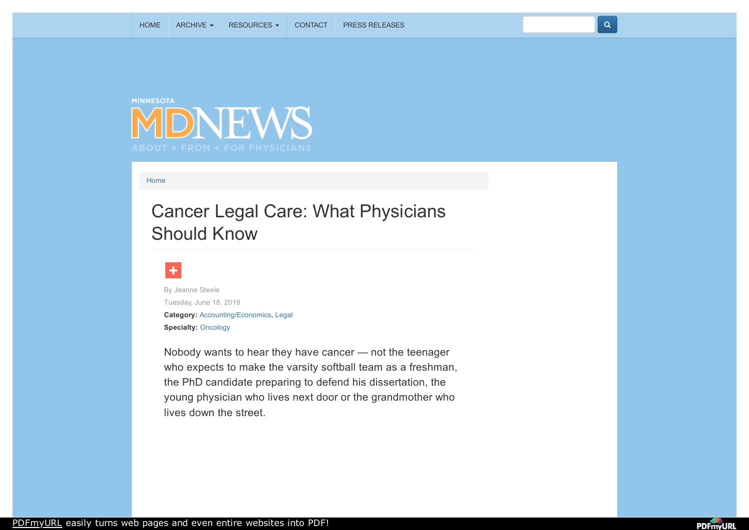



[Home](http://minnesota.mdnews.com/)

## Cancer Legal Care: What Physicians Should Know



**Category:** [Accounting/Economics,](http://minnesota.mdnews.com/taxonomy/term/46) [Legal](http://minnesota.mdnews.com/taxonomy/term/26) **Specialty:** [Oncology](http://minnesota.mdnews.com/taxonomy/term/67) By Jeanne Steele Tuesday, June 18, 2019

Nobody wants to hear they have cancer — not the teenager who expects to make the varsity softball team as a freshman, the PhD candidate preparing to defend his dissertation, the young physician who lives next door or the grandmother who lives down the street.



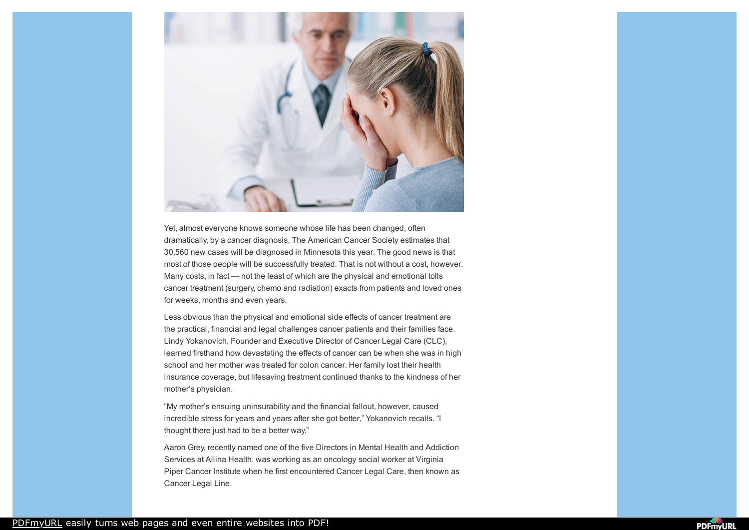

Yet, almost everyone knows someone whose life has been changed, often dramatically, by a cancer diagnosis. The American Cancer Society estimates that 30,560 new cases will be diagnosed in Minnesota this year. The good news is that most of those people will be successfully treated. That is not without a cost, however. Many costs, in fact — not the least of which are the physical and emotional tolls cancer treatment (surgery, chemo and radiation) exacts from patients and loved ones for weeks, months and even years.

Less obvious than the physical and emotional side effects of cancer treatment are the practical, financial and legal challenges cancer patients and their families face. Lindy Yokanovich, Founder and Executive Director of Cancer Legal Care (CLC), learned firsthand how devastating the effects of cancer can be when she was in high school and her mother was treated for colon cancer. Her family lost their health insurance coverage, but lifesaving treatment continued thanks to the kindness of her mother's physician.

"My mother's ensuing uninsurability and the financial fallout, however, caused incredible stress for years and years after she got better," Yokanovich recalls. "I thought there just had to be a better way."

Aaron Grey, recently named one of the five Directors in Mental Health and Addiction Services at Allina Health, was working as an oncology social worker at Virginia Piper Cancer Institute when he first encountered Cancer Legal Care, then known as Cancer Legal Line.

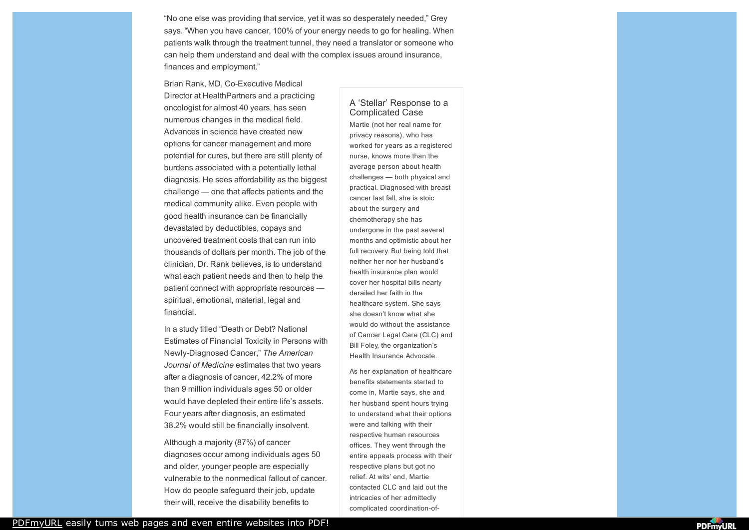"No one else was providing that service, yet it was so desperately needed," Grey says. "When you have cancer, 100% of your energy needs to go for healing. When patients walk through the treatment tunnel, they need a translator or someone who can help them understand and deal with the complex issues around insurance, finances and employment."

Brian Rank, MD, Co-Executive Medical Director at HealthPartners and a practicing oncologist for almost 40 years, has seen numerous changes in the medical field. Advances in science have created new options for cancer management and more potential for cures, but there are still plenty of burdens associated with a potentially lethal diagnosis. He sees affordability as the biggest challenge — one that affects patients and the medical community alike. Even people with good health insurance can be financially devastated by deductibles, copays and uncovered treatment costs that can run into thousands of dollars per month. The job of the clinician, Dr. Rank believes, is to understand what each patient needs and then to help the patient connect with appropriate resources spiritual, emotional, material, legal and financial.

In a study titled "Death or Debt? National Estimates of Financial Toxicity in Persons with Newly-Diagnosed Cancer," *The American Journal of Medicine* estimates that two years after a diagnosis of cancer, 42.2% of more than 9 million individuals ages 50 or older would have depleted their entire life's assets. Four years after diagnosis, an estimated 38.2% would still be financially insolvent.

Although a majority (87%) of cancer diagnoses occur among individuals ages 50 and older, younger people are especially vulnerable to the nonmedical fallout of cancer. How do people safeguard their job, update their will, receive the disability benefits to

## A 'Stellar' Response to a Complicated Case

Martie (not her real name for privacy reasons), who has worked for years as a registered nurse, knows more than the average person about health challenges — both physical and practical. Diagnosed with breast cancer last fall, she is stoic about the surgery and chemotherapy she has undergone in the past several months and optimistic about her full recovery. But being told that neither her nor her husband's health insurance plan would cover her hospital bills nearly derailed her faith in the healthcare system. She says she doesn't know what she would do without the assistance of Cancer Legal Care (CLC) and Bill Foley, the organization's Health Insurance Advocate.

As her explanation of healthcare benefits statements started to come in, Martie says, she and her husband spent hours trying to understand what their options were and talking with their respective human resources offices. They went through the entire appeals process with their respective plans but got no relief. At wits' end, Martie contacted CLC and laid out the intricacies of her admittedly complicated coordination-of-

[PDFmyURL](https://pdfmyurl.com/?src=pdf) easily turns web pages and even entire websites into PDF!

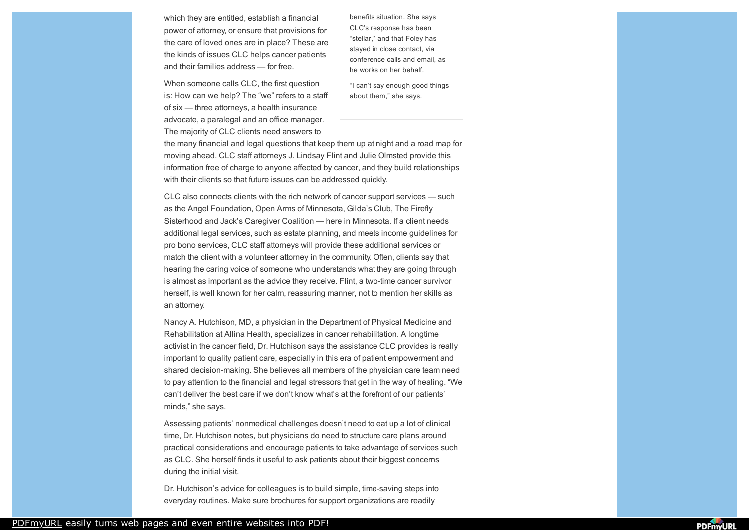which they are entitled, establish a financial power of attorney, or ensure that provisions for the care of loved ones are in place? These are the kinds of issues CLC helps cancer patients and their families address — for free.

When someone calls CLC, the first question is: How can we help? The "we" refers to a staff of six — three attorneys, a health insurance advocate, a paralegal and an office manager. The majority of CLC clients need answers to

benefits situation. She says CLC's response has been "stellar," and that Foley has stayed in close contact, via conference calls and email, as he works on her behalf.

"I can't say enough good things about them," she says.

the many financial and legal questions that keep them up at night and a road map for moving ahead. CLC staff attorneys J. Lindsay Flint and Julie Olmsted provide this information free of charge to anyone affected by cancer, and they build relationships with their clients so that future issues can be addressed quickly.

CLC also connects clients with the rich network of cancer support services — such as the Angel Foundation, Open Arms of Minnesota, Gilda's Club, The Firefly Sisterhood and Jack's Caregiver Coalition — here in Minnesota. If a client needs additional legal services, such as estate planning, and meets income guidelines for pro bono services, CLC staff attorneys will provide these additional services or match the client with a volunteer attorney in the community. Often, clients say that hearing the caring voice of someone who understands what they are going through is almost as important as the advice they receive. Flint, a two-time cancer survivor herself, is well known for her calm, reassuring manner, not to mention her skills as an attorney.

Nancy A. Hutchison, MD, a physician in the Department of Physical Medicine and Rehabilitation at Allina Health, specializes in cancer rehabilitation. A longtime activist in the cancer field, Dr. Hutchison says the assistance CLC provides is really important to quality patient care, especially in this era of patient empowerment and shared decision-making. She believes all members of the physician care team need to pay attention to the financial and legal stressors that get in the way of healing. "We can't deliver the best care if we don't know what's at the forefront of our patients' minds," she says.

Assessing patients' nonmedical challenges doesn't need to eat up a lot of clinical time, Dr. Hutchison notes, but physicians do need to structure care plans around practical considerations and encourage patients to take advantage of services such as CLC. She herself finds it useful to ask patients about their biggest concerns during the initial visit.

Dr. Hutchison's advice for colleagues is to build simple, time-saving steps into everyday routines. Make sure brochures for support organizations are readily